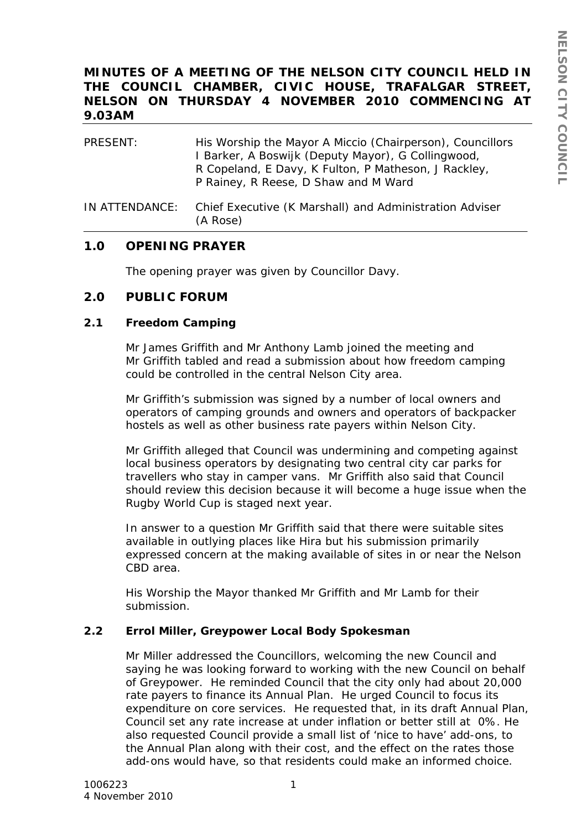# **MINUTES OF A MEETING OF THE NELSON CITY COUNCIL HELD IN THE COUNCIL CHAMBER, CIVIC HOUSE, TRAFALGAR STREET, NELSON ON THURSDAY 4 NOVEMBER 2010 COMMENCING AT 9.03AM**

| PRESENT:       | His Worship the Mayor A Miccio (Chairperson), Councillors<br>I Barker, A Boswijk (Deputy Mayor), G Collingwood,<br>R Copeland, E Davy, K Fulton, P Matheson, J Rackley,<br>P Rainey, R Reese, D Shaw and M Ward |
|----------------|-----------------------------------------------------------------------------------------------------------------------------------------------------------------------------------------------------------------|
| IN ATTENDANCE: | Chief Executive (K Marshall) and Administration Adviser<br>(A Rose)                                                                                                                                             |

# **1.0 OPENING PRAYER**

The opening prayer was given by Councillor Davy.

## **2.0 PUBLIC FORUM**

### **2.1 Freedom Camping**

Mr James Griffith and Mr Anthony Lamb joined the meeting and Mr Griffith tabled and read a submission about how freedom camping could be controlled in the central Nelson City area.

Mr Griffith's submission was signed by a number of local owners and operators of camping grounds and owners and operators of backpacker hostels as well as other business rate payers within Nelson City.

Mr Griffith alleged that Council was undermining and competing against local business operators by designating two central city car parks for travellers who stay in camper vans. Mr Griffith also said that Council should review this decision because it will become a huge issue when the Rugby World Cup is staged next year.

In answer to a question Mr Griffith said that there were suitable sites available in outlying places like Hira but his submission primarily expressed concern at the making available of sites in or near the Nelson CBD area.

His Worship the Mayor thanked Mr Griffith and Mr Lamb for their submission.

## **2.2 Errol Miller, Greypower Local Body Spokesman**

Mr Miller addressed the Councillors, welcoming the new Council and saying he was looking forward to working with the new Council on behalf of Greypower. He reminded Council that the city only had about 20,000 rate payers to finance its Annual Plan. He urged Council to focus its expenditure on core services. He requested that, in its draft Annual Plan, Council set any rate increase at under inflation or better still at 0%. He also requested Council provide a small list of 'nice to have' add-ons, to the Annual Plan along with their cost, and the effect on the rates those add-ons would have, so that residents could make an informed choice.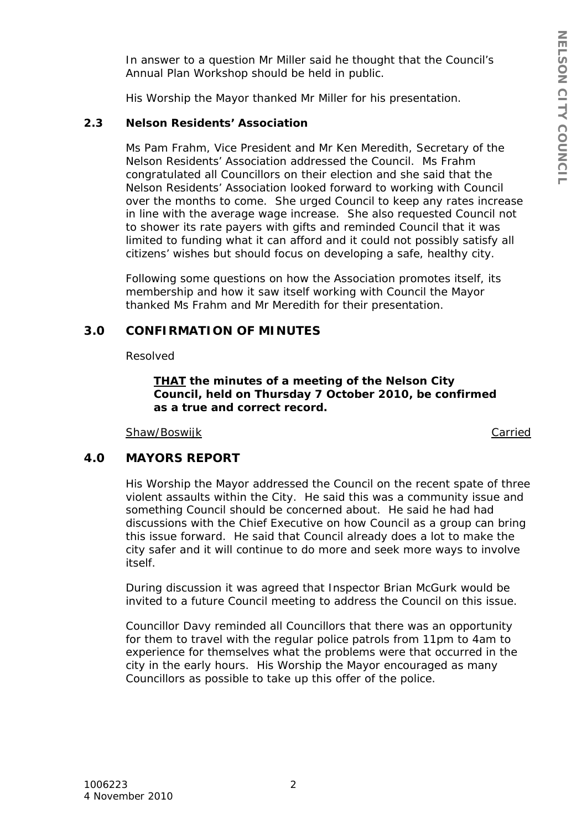In answer to a question Mr Miller said he thought that the Council's Annual Plan Workshop should be held in public.

His Worship the Mayor thanked Mr Miller for his presentation.

### **2.3 Nelson Residents' Association**

Ms Pam Frahm, Vice President and Mr Ken Meredith, Secretary of the Nelson Residents' Association addressed the Council. Ms Frahm congratulated all Councillors on their election and she said that the Nelson Residents' Association looked forward to working with Council over the months to come. She urged Council to keep any rates increase in line with the average wage increase. She also requested Council not to shower its rate payers with gifts and reminded Council that it was limited to funding what it can afford and it could not possibly satisfy all citizens' wishes but should focus on developing a safe, healthy city.

Following some questions on how the Association promotes itself, its membership and how it saw itself working with Council the Mayor thanked Ms Frahm and Mr Meredith for their presentation.

# **3.0 CONFIRMATION OF MINUTES**

Resolved

*THAT the minutes of a meeting of the Nelson City Council, held on Thursday 7 October 2010, be confirmed as a true and correct record.* 

Shaw/Boswijk Carried

## **4.0 MAYORS REPORT**

His Worship the Mayor addressed the Council on the recent spate of three violent assaults within the City. He said this was a community issue and something Council should be concerned about. He said he had had discussions with the Chief Executive on how Council as a group can bring this issue forward. He said that Council already does a lot to make the city safer and it will continue to do more and seek more ways to involve itself.

During discussion it was agreed that Inspector Brian McGurk would be invited to a future Council meeting to address the Council on this issue.

Councillor Davy reminded all Councillors that there was an opportunity for them to travel with the regular police patrols from 11pm to 4am to experience for themselves what the problems were that occurred in the city in the early hours. His Worship the Mayor encouraged as many Councillors as possible to take up this offer of the police.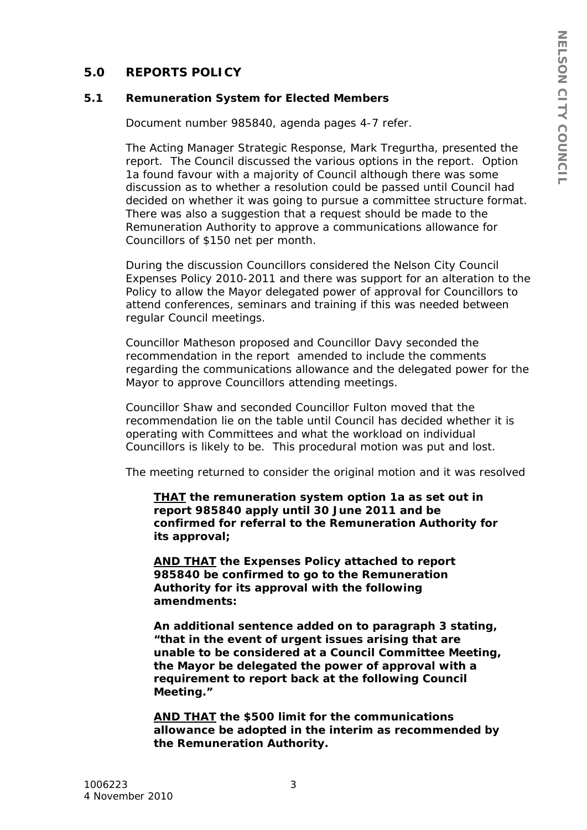# **5.0 REPORTS POLICY**

### **5.1 Remuneration System for Elected Members**

Document number 985840, agenda pages 4-7 refer.

The Acting Manager Strategic Response, Mark Tregurtha, presented the report. The Council discussed the various options in the report. Option 1a found favour with a majority of Council although there was some discussion as to whether a resolution could be passed until Council had decided on whether it was going to pursue a committee structure format. There was also a suggestion that a request should be made to the Remuneration Authority to approve a communications allowance for Councillors of \$150 net per month.

During the discussion Councillors considered the Nelson City Council Expenses Policy 2010-2011 and there was support for an alteration to the Policy to allow the Mayor delegated power of approval for Councillors to attend conferences, seminars and training if this was needed between regular Council meetings.

Councillor Matheson proposed and Councillor Davy seconded the recommendation in the report amended to include the comments regarding the communications allowance and the delegated power for the Mayor to approve Councillors attending meetings.

Councillor Shaw and seconded Councillor Fulton moved that the recommendation lie on the table until Council has decided whether it is operating with Committees and what the workload on individual Councillors is likely to be. This procedural motion was put and lost.

The meeting returned to consider the original motion and it was resolved

*THAT the remuneration system option 1a as set out in report 985840 apply until 30 June 2011 and be confirmed for referral to the Remuneration Authority for its approval;* 

*AND THAT the Expenses Policy attached to report 985840 be confirmed to go to the Remuneration Authority for its approval with the following amendments:* 

*An additional sentence added on to paragraph 3 stating, "that in the event of urgent issues arising that are unable to be considered at a Council Committee Meeting, the Mayor be delegated the power of approval with a requirement to report back at the following Council Meeting."* 

*AND THAT the \$500 limit for the communications allowance be adopted in the interim as recommended by the Remuneration Authority.*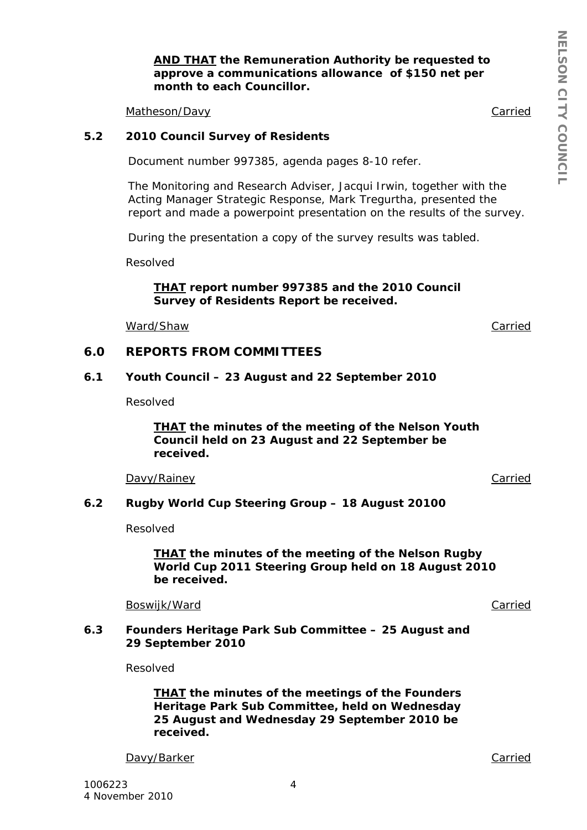### *AND THAT the Remuneration Authority be requested to approve a communications allowance of \$150 net per month to each Councillor.*

Matheson/Davy Carried

### **5.2 2010 Council Survey of Residents**

Document number 997385, agenda pages 8-10 refer.

The Monitoring and Research Adviser, Jacqui Irwin, together with the Acting Manager Strategic Response, Mark Tregurtha, presented the report and made a powerpoint presentation on the results of the survey.

During the presentation a copy of the survey results was tabled.

Resolved

*THAT report number 997385 and the 2010 Council Survey of Residents Report be received.* 

Ward/Shaw Carried

**6.0 REPORTS FROM COMMITTEES** 

#### **6.1 Youth Council – 23 August and 22 September 2010**

Resolved

*THAT the minutes of the meeting of the Nelson Youth Council held on 23 August and 22 September be received.* 

Davy/Rainey Carried

### **6.2 Rugby World Cup Steering Group – 18 August 20100**

Resolved

*THAT the minutes of the meeting of the Nelson Rugby World Cup 2011 Steering Group held on 18 August 2010 be received.* 

Boswijk/Ward **Carried** Carried Carried Carried Carried Carried Carried Carried Carried Carried Carried Carried Carried Carried Carried Carried Carried Carried Carried Carried Carried Carried Carried Carried Carried Carried

**6.3 Founders Heritage Park Sub Committee – 25 August and 29 September 2010** 

Resolved

*THAT the minutes of the meetings of the Founders Heritage Park Sub Committee, held on Wednesday 25 August and Wednesday 29 September 2010 be received.* 

Davy/Barker Carried Carried Carried Carried Carried Carried Carried Carried Carried Carried Carried Carried Carried Carried Carried Carried Carried Carried Carried Carried Carried Carried Carried Carried Carried Carried Ca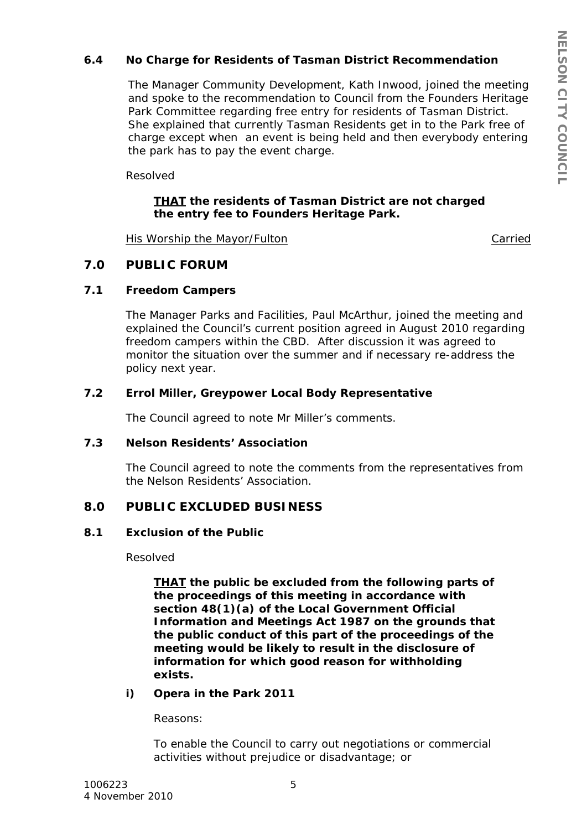## **6.4 No Charge for Residents of Tasman District Recommendation**

The Manager Community Development, Kath Inwood, joined the meeting and spoke to the recommendation to Council from the Founders Heritage Park Committee regarding free entry for residents of Tasman District. She explained that currently Tasman Residents get in to the Park free of charge except when an event is being held and then everybody entering the park has to pay the event charge.

Resolved

## *THAT the residents of Tasman District are not charged the entry fee to Founders Heritage Park.*

His Worship the Mayor/Fulton Carried

# **7.0 PUBLIC FORUM**

### **7.1 Freedom Campers**

The Manager Parks and Facilities, Paul McArthur, joined the meeting and explained the Council's current position agreed in August 2010 regarding freedom campers within the CBD. After discussion it was agreed to monitor the situation over the summer and if necessary re-address the policy next year.

### **7.2 Errol Miller, Greypower Local Body Representative**

The Council agreed to note Mr Miller's comments.

### **7.3 Nelson Residents' Association**

The Council agreed to note the comments from the representatives from the Nelson Residents' Association.

## **8.0 PUBLIC EXCLUDED BUSINESS**

### **8.1 Exclusion of the Public**

Resolved

*THAT the public be excluded from the following parts of the proceedings of this meeting in accordance with section 48(1)(a) of the Local Government Official Information and Meetings Act 1987 on the grounds that the public conduct of this part of the proceedings of the meeting would be likely to result in the disclosure of information for which good reason for withholding exists.* 

### *i) Opera in the Park 2011*

 *Reasons:* 

 *To enable the Council to carry out negotiations or commercial activities without prejudice or disadvantage; or*